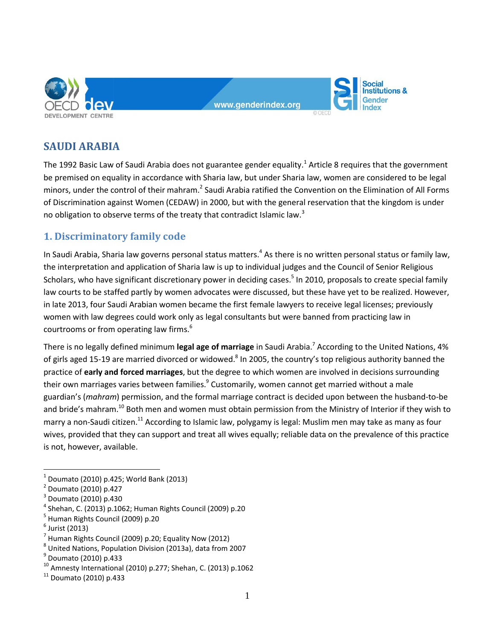

www.aenderindex.org

**Social** nstitutions & Gender

# **SAUDI ARABIA**

The 1992 Basic Law of Saudi Arabia does not guarantee gender equality.<sup>1</sup> Article 8 requires that the government be premised on equality in accordance with Sharia law, but under Sharia law, women are considered to be legal minors, under the control of their mahram.<sup>2</sup> Saudi Arabia ratified the Convention on the Elimination of All Forms of Discrimination against Women (CEDAW) in 2000, but with the general reservation that the kingdom is under no obligation to observe terms of the treaty that contradict Islamic law.<sup>3</sup>

## **1. Discriminatory family code**

In Saudi Arabia, Sharia law governs personal status matters.<sup>4</sup> As there is no written personal status or family law, the interpretation and application of Sharia law is up to individual judges and the Council of Senior Religious Scholars, who have significant discretionary power in deciding cases.<sup>5</sup> In 2010, proposals to create special family law courts to be staffed partly by women advocates were discussed, but these have yet to be realized. However, in late 2013, four Saudi Arabian women became the first female lawyers to receive legal licenses; previously women with law degrees could work only as legal consultants but were banned from practicing law in courtrooms or from operating law firms.<sup>6</sup>

There is no legally defined minimum **legal age of marriage** in Saudi Arabia.<sup>7</sup> According to the United Nations, 4% of girls aged 15-19 are married divorced or widowed.<sup>8</sup> In 2005, the country's top religious authority banned the practice of **early and forced marriages**, but the degree to which women are involved in decisions surrounding their own marriages varies between families.<sup>9</sup> Customarily, women cannot get married without a male guardian's (*mahram*) permission, and the formal marriage contract is decided upon between the husband-to-be and bride's mahram.<sup>10</sup> Both men and women must obtain permission from the Ministry of Interior if they wish to marry a non-Saudi citizen.<sup>11</sup> According to Islamic law, polygamy is legal: Muslim men may take as many as four wives, provided that they can support and treat all wives equally; reliable data on the prevalence of this practice is not, however, available.

<sup>1</sup> Doumato (2010) p.425; World Bank (2013)

<sup>2</sup> Doumato (2010) p.427

<sup>3</sup> Doumato (2010) p.430

<sup>4</sup> Shehan, C. (2013) p.1062; Human Rights Council (2009) p.20

<sup>5</sup> Human Rights Council (2009) p.20

 $^6$  Jurist (2013)

 $^7$  Human Rights Council (2009) p.20; Equality Now (2012)

<sup>8</sup> United Nations, Population Division (2013a), data from 2007

<sup>&</sup>lt;sup>9</sup> Doumato (2010) p.433

<sup>10</sup> Amnesty International (2010) p.277; Shehan, C. (2013) p.1062

 $11$  Doumato (2010) p.433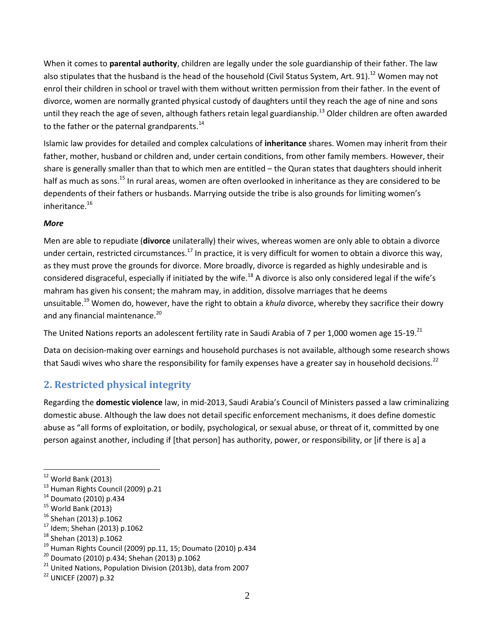When it comes to **parental authority**, children are legally under the sole guardianship of their father. The law also stipulates that the husband is the head of the household (Civil Status System, Art. 91).<sup>12</sup> Women may not enrol their children in school or travel with them without written permission from their father. In the event of divorce, women are normally granted physical custody of daughters until they reach the age of nine and sons until they reach the age of seven, although fathers retain legal guardianship.<sup>13</sup> Older children are often awarded to the father or the paternal grandparents.<sup>14</sup>

Islamic law provides for detailed and complex calculations of **inheritance** shares. Women may inherit from their father, mother, husband or children and, under certain conditions, from other family members. However, their share is generally smaller than that to which men are entitled – the Quran states that daughters should inherit half as much as sons.<sup>15</sup> In rural areas, women are often overlooked in inheritance as they are considered to be dependents of their fathers or husbands. Marrying outside the tribe is also grounds for limiting women's inheritance.<sup>16</sup>

#### *More*

Men are able to repudiate (**divorce** unilaterally) their wives, whereas women are only able to obtain a divorce under certain, restricted circumstances.<sup>17</sup> In practice, it is very difficult for women to obtain a divorce this way, as they must prove the grounds for divorce. More broadly, divorce is regarded as highly undesirable and is considered disgraceful, especially if initiated by the wife.<sup>18</sup> A divorce is also only considered legal if the wife's mahram has given his consent; the mahram may, in addition, dissolve marriages that he deems unsuitable.<sup>19</sup> Women do, however, have the right to obtain a *khula* divorce, whereby they sacrifice their dowry and any financial maintenance.<sup>20</sup>

The United Nations reports an adolescent fertility rate in Saudi Arabia of 7 per 1,000 women age 15-19.<sup>21</sup>

Data on decision-making over earnings and household purchases is not available, although some research shows that Saudi wives who share the responsibility for family expenses have a greater sav in household decisions.<sup>22</sup>

## **2. Restricted physical integrity**

Regarding the **domestic violence** law, in mid-2013, Saudi Arabia's Council of Ministers passed a law criminalizing domestic abuse. Although the law does not detail specific enforcement mechanisms, it does define domestic abuse as "all forms of exploitation, or bodily, psychological, or sexual abuse, or threat of it, committed by one person against another, including if [that person] has authority, power, or responsibility, or [if there is a] a

- <sup>17</sup> Idem; Shehan (2013) p.1062
- <sup>18</sup> Shehan (2013) p.1062

 $12$  World Bank (2013)

<sup>13</sup> Human Rights Council (2009) p.21

<sup>14</sup> Doumato (2010) p.434

 $15$  World Bank (2013)

<sup>16</sup> Shehan (2013) p.1062

 $19$  Human Rights Council (2009) pp.11, 15; Doumato (2010) p.434

<sup>20</sup> Doumato (2010) p.434; Shehan (2013) p.1062

 $21$  United Nations, Population Division (2013b), data from 2007

<sup>22</sup> UNICEF (2007) p.32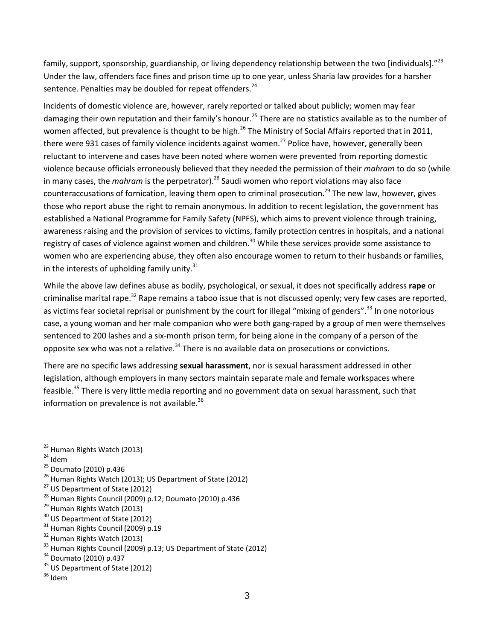family, support, sponsorship, guardianship, or living dependency relationship between the two [individuals]."<sup>23</sup> Under the law, offenders face fines and prison time up to one year, unless Sharia law provides for a harsher sentence. Penalties may be doubled for repeat offenders. $24$ 

Incidents of domestic violence are, however, rarely reported or talked about publicly; women may fear damaging their own reputation and their family's honour.<sup>25</sup> There are no statistics available as to the number of women affected, but prevalence is thought to be high.<sup>26</sup> The Ministry of Social Affairs reported that in 2011, there were 931 cases of family violence incidents against women.<sup>27</sup> Police have, however, generally been reluctant to intervene and cases have been noted where women were prevented from reporting domestic violence because officials erroneously believed that they needed the permission of their *mahram* to do so (while in many cases, the *mahram* is the perpetrator).<sup>28</sup> Saudi women who report violations may also face counteraccusations of fornication, leaving them open to criminal prosecution.<sup>29</sup> The new law, however, gives those who report abuse the right to remain anonymous. In addition to recent legislation, the government has established a National Programme for Family Safety (NPFS), which aims to prevent violence through training, awareness raising and the provision of services to victims, family protection centres in hospitals, and a national registry of cases of violence against women and children.<sup>30</sup> While these services provide some assistance to women who are experiencing abuse, they often also encourage women to return to their husbands or families, in the interests of upholding family unity. $31$ 

While the above law defines abuse as bodily, psychological, or sexual, it does not specifically address **rape** or criminalise marital rape.<sup>32</sup> Rape remains a taboo issue that is not discussed openly; very few cases are reported, as victims fear societal reprisal or punishment by the court for illegal "mixing of genders".<sup>33</sup> In one notorious case, a young woman and her male companion who were both gang-raped by a group of men were themselves sentenced to 200 lashes and a six-month prison term, for being alone in the company of a person of the opposite sex who was not a relative.<sup>34</sup> There is no available data on prosecutions or convictions.

There are no specific laws addressing **sexual harassment**, nor is sexual harassment addressed in other legislation, although employers in many sectors maintain separate male and female workspaces where feasible.<sup>35</sup> There is very little media reporting and no government data on sexual harassment, such that information on prevalence is not available. $36$ 

 $24$  Idem

- <sup>27</sup> US Department of State (2012)
- <sup>28</sup> Human Rights Council (2009) p.12; Doumato (2010) p.436
- <sup>29</sup> Human Rights Watch (2013)
- <sup>30</sup> US Department of State (2012)
- <sup>31</sup> Human Rights Council (2009) p.19
- <sup>32</sup> Human Rights Watch (2013)
- <sup>33</sup> Human Rights Council (2009) p.13; US Department of State (2012)
- <sup>34</sup> Doumato (2010) p.437
- <sup>35</sup> US Department of State (2012)

<sup>&</sup>lt;sup>23</sup> Human Rights Watch (2013)

<sup>25</sup> Doumato (2010) p.436

<sup>&</sup>lt;sup>26</sup> Human Rights Watch (2013); US Department of State (2012)

 $36$  Idem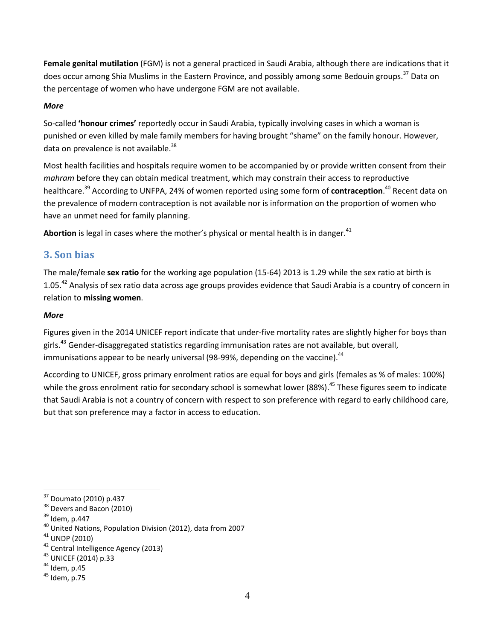**Female genital mutilation** (FGM) is not a general practiced in Saudi Arabia, although there are indications that it does occur among Shia Muslims in the Eastern Province, and possibly among some Bedouin groups.<sup>37</sup> Data on the percentage of women who have undergone FGM are not available.

#### *More*

So-called **'honour crimes'** reportedly occur in Saudi Arabia, typically involving cases in which a woman is punished or even killed by male family members for having brought "shame" on the family honour. However, data on prevalence is not available. $38$ 

Most health facilities and hospitals require women to be accompanied by or provide written consent from their *mahram* before they can obtain medical treatment, which may constrain their access to reproductive healthcare. <sup>39</sup> According to UNFPA, 24% of women reported using some form of **contraception**. <sup>40</sup> Recent data on the prevalence of modern contraception is not available nor is information on the proportion of women who have an unmet need for family planning.

Abortion is legal in cases where the mother's physical or mental health is in danger.<sup>41</sup>

### **3. Son bias**

The male/female **sex ratio** for the working age population (15-64) 2013 is 1.29 while the sex ratio at birth is 1.05.<sup>42</sup> Analysis of sex ratio data across age groups provides evidence that Saudi Arabia is a country of concern in relation to **missing women**.

#### *More*

Figures given in the 2014 UNICEF report indicate that under-five mortality rates are slightly higher for boys than girls.<sup>43</sup> Gender-disaggregated statistics regarding immunisation rates are not available, but overall, immunisations appear to be nearly universal (98-99%, depending on the vaccine). $44$ 

According to UNICEF, gross primary enrolment ratios are equal for boys and girls (females as % of males: 100%) while the gross enrolment ratio for secondary school is somewhat lower (88%).<sup>45</sup> These figures seem to indicate that Saudi Arabia is not a country of concern with respect to son preference with regard to early childhood care, but that son preference may a factor in access to education.

<sup>37</sup> Doumato (2010) p.437

<sup>&</sup>lt;sup>38</sup> Devers and Bacon (2010)

<sup>39</sup> Idem, p.447

<sup>40</sup> United Nations, Population Division (2012), data from 2007

 $41$  UNDP (2010)

<sup>42</sup> Central Intelligence Agency (2013)

<sup>43</sup> UNICEF (2014) p.33

 $44$  Idem, p.45

 $45$  Idem, p.75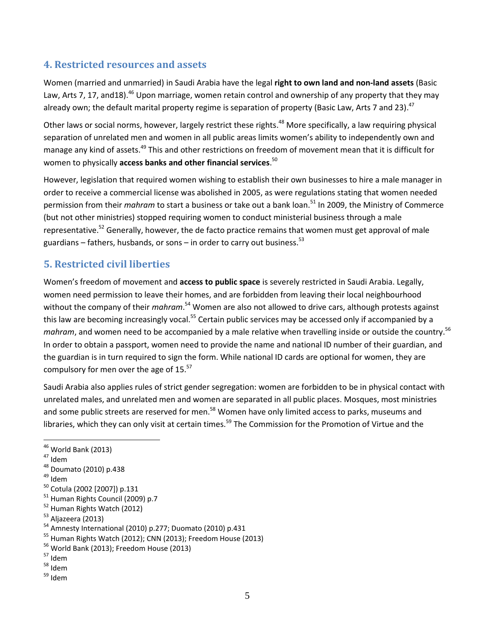## **4. Restricted resources and assets**

Women (married and unmarried) in Saudi Arabia have the legal **right to own land and non-land assets** (Basic Law, Arts 7, 17, and18).<sup>46</sup> Upon marriage, women retain control and ownership of any property that they may already own; the default marital property regime is separation of property (Basic Law, Arts 7 and 23).<sup>47</sup>

Other laws or social norms, however, largely restrict these rights.<sup>48</sup> More specifically, a law requiring physical separation of unrelated men and women in all public areas limits women's ability to independently own and manage any kind of assets.<sup>49</sup> This and other restrictions on freedom of movement mean that it is difficult for women to physically **access banks and other financial services**. 50

However, legislation that required women wishing to establish their own businesses to hire a male manager in order to receive a commercial license was abolished in 2005, as were regulations stating that women needed permission from their *mahram* to start a business or take out a bank loan.<sup>51</sup> In 2009, the Ministry of Commerce (but not other ministries) stopped requiring women to conduct ministerial business through a male representative.<sup>52</sup> Generally, however, the de facto practice remains that women must get approval of male guardians – fathers, husbands, or sons – in order to carry out business.<sup>53</sup>

## **5. Restricted civil liberties**

Women's freedom of movement and **access to public space** is severely restricted in Saudi Arabia. Legally, women need permission to leave their homes, and are forbidden from leaving their local neighbourhood without the company of their *mahram*.<sup>54</sup> Women are also not allowed to drive cars, although protests against this law are becoming increasingly vocal.<sup>55</sup> Certain public services may be accessed only if accompanied by a mahram, and women need to be accompanied by a male relative when travelling inside or outside the country.<sup>56</sup> In order to obtain a passport, women need to provide the name and national ID number of their guardian, and the guardian is in turn required to sign the form. While national ID cards are optional for women, they are compulsory for men over the age of 15.<sup>57</sup>

Saudi Arabia also applies rules of strict gender segregation: women are forbidden to be in physical contact with unrelated males, and unrelated men and women are separated in all public places. Mosques, most ministries and some public streets are reserved for men.<sup>58</sup> Women have only limited access to parks, museums and libraries, which they can only visit at certain times.<sup>59</sup> The Commission for the Promotion of Virtue and the

<sup>47</sup> Idem

 $\overline{a}$ 

- <sup>48</sup> Doumato (2010) p.438
- <sup>49</sup> Idem
- <sup>50</sup> Cotula (2002 [2007]) p.131
- <sup>51</sup> Human Rights Council (2009) p.7
- <sup>52</sup> Human Rights Watch (2012)
- <sup>53</sup> Aljazeera (2013)

<sup>55</sup> Human Rights Watch (2012); CNN (2013); Freedom House (2013)

 $46$  World Bank (2013)

<sup>54</sup> Amnesty International (2010) p.277; Duomato (2010) p.431

<sup>56</sup> World Bank (2013); Freedom House (2013)

<sup>57</sup> Idem

<sup>58</sup> Idem

<sup>59</sup> Idem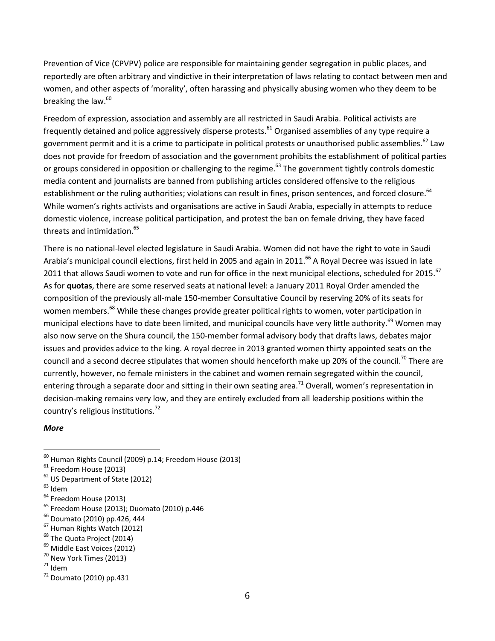Prevention of Vice (CPVPV) police are responsible for maintaining gender segregation in public places, and reportedly are often arbitrary and vindictive in their interpretation of laws relating to contact between men and women, and other aspects of 'morality', often harassing and physically abusing women who they deem to be breaking the law.<sup>60</sup>

Freedom of expression, association and assembly are all restricted in Saudi Arabia. Political activists are frequently detained and police aggressively disperse protests.<sup>61</sup> Organised assemblies of any type require a government permit and it is a crime to participate in political protests or unauthorised public assemblies.<sup>62</sup> Law does not provide for freedom of association and the government prohibits the establishment of political parties or groups considered in opposition or challenging to the regime.<sup>63</sup> The government tightly controls domestic media content and journalists are banned from publishing articles considered offensive to the religious establishment or the ruling authorities; violations can result in fines, prison sentences, and forced closure.<sup>64</sup> While women's rights activists and organisations are active in Saudi Arabia, especially in attempts to reduce domestic violence, increase political participation, and protest the ban on female driving, they have faced threats and intimidation.<sup>65</sup>

There is no national-level elected legislature in Saudi Arabia. Women did not have the right to vote in Saudi Arabia's municipal council elections, first held in 2005 and again in 2011.<sup>66</sup> A Royal Decree was issued in late 2011 that allows Saudi women to vote and run for office in the next municipal elections, scheduled for 2015.<sup>67</sup> As for **quotas**, there are some reserved seats at national level: a January 2011 Royal Order amended the composition of the previously all-male 150-member Consultative Council by reserving 20% of its seats for women members.<sup>68</sup> While these changes provide greater political rights to women, voter participation in municipal elections have to date been limited, and municipal councils have very little authority.<sup>69</sup> Women may also now serve on the Shura council, the 150-member formal advisory body that drafts laws, debates major issues and provides advice to the king. A royal decree in 2013 granted women thirty appointed seats on the council and a second decree stipulates that women should henceforth make up 20% of the council.<sup>70</sup> There are currently, however, no female ministers in the cabinet and women remain segregated within the council, entering through a separate door and sitting in their own seating area.<sup>71</sup> Overall, women's representation in decision-making remains very low, and they are entirely excluded from all leadership positions within the country's religious institutions.<sup>72</sup>

#### *More*

- $^{63}$ Idem
- <sup>64</sup> Freedom House (2013)
- <sup>65</sup> Freedom House (2013); Duomato (2010) p.446
- <sup>66</sup> Doumato (2010) pp.426, 444
- <sup>67</sup> Human Rights Watch (2012)
- <sup>68</sup> The Quota Project (2014)
- <sup>69</sup> Middle East Voices (2012)
- <sup>70</sup> New York Times (2013)
- $71$  Idem
- $72$  Doumato (2010) pp.431

 $^{60}$  Human Rights Council (2009) p.14; Freedom House (2013)

 $61$  Freedom House (2013)

<sup>&</sup>lt;sup>62</sup> US Department of State (2012)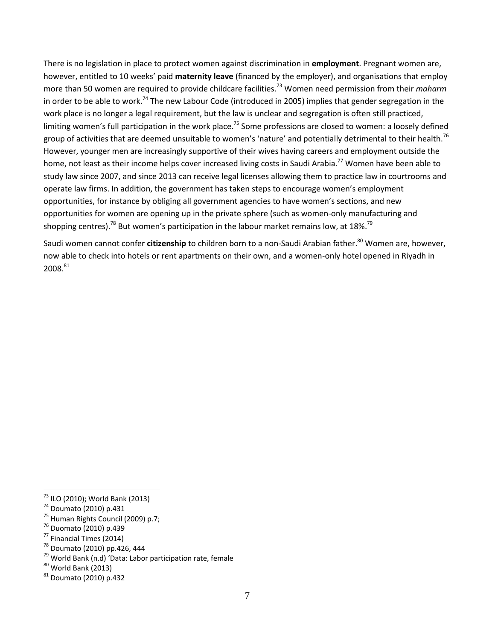There is no legislation in place to protect women against discrimination in **employment**. Pregnant women are, however, entitled to 10 weeks' paid **maternity leave** (financed by the employer), and organisations that employ more than 50 women are required to provide childcare facilities.<sup>73</sup> Women need permission from their *maharm* in order to be able to work.<sup>74</sup> The new Labour Code (introduced in 2005) implies that gender segregation in the work place is no longer a legal requirement, but the law is unclear and segregation is often still practiced, limiting women's full participation in the work place.<sup>75</sup> Some professions are closed to women: a loosely defined group of activities that are deemed unsuitable to women's 'nature' and potentially detrimental to their health.<sup>76</sup> However, younger men are increasingly supportive of their wives having careers and employment outside the home, not least as their income helps cover increased living costs in Saudi Arabia.<sup>77</sup> Women have been able to study law since 2007, and since 2013 can receive legal licenses allowing them to practice law in courtrooms and operate law firms. In addition, the government has taken steps to encourage women's employment opportunities, for instance by obliging all government agencies to have women's sections, and new opportunities for women are opening up in the private sphere (such as women-only manufacturing and shopping centres).<sup>78</sup> But women's participation in the labour market remains low, at 18%.<sup>79</sup>

Saudi women cannot confer *citizenship* to children born to a non-Saudi Arabian father.<sup>80</sup> Women are, however, now able to check into hotels or rent apartments on their own, and a women-only hotel opened in Riyadh in 2008.<sup>81</sup>

<sup>&</sup>lt;sup>73</sup> ILO (2010); World Bank (2013)

<sup>74</sup> Doumato (2010) p.431

<sup>75</sup> Human Rights Council (2009) p.7;

<sup>76</sup> Duomato (2010) p.439

<sup>77</sup> Financial Times (2014)

<sup>78</sup> Doumato (2010) pp.426, 444

<sup>79</sup> World Bank (n.d) 'Data: Labor participation rate, female

 $80$  World Bank (2013)

 $81$  Doumato (2010) p.432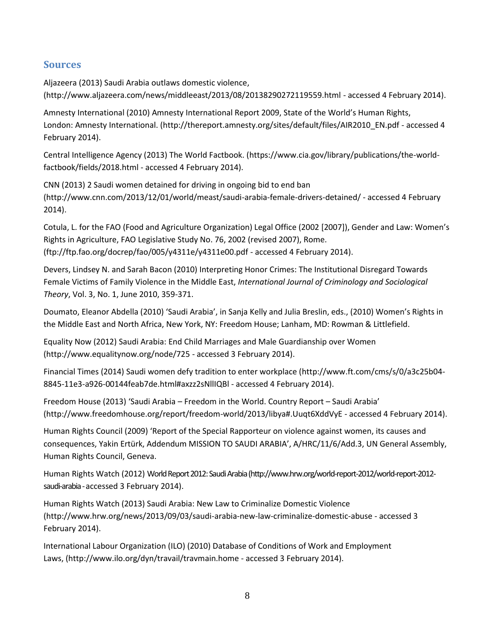## **Sources**

Aljazeera (2013) Saudi Arabia outlaws domestic violence, [\(http://www.aljazeera.com/news/middleeast/2013/08/20138290272119559.html](http://www.aljazeera.com/news/middleeast/2013/08/20138290272119559.html) - accessed 4 February 2014).

Amnesty International (2010) Amnesty International Report 2009, State of the World's Human Rights, London: Amnesty International. [\(http://thereport.amnesty.org/sites/default/files/AIR2010\\_EN.pdf](http://thereport.amnesty.org/sites/default/files/AIR2010_EN.pdf) - accessed 4 February 2014).

Central Intelligence Agency (2013) The World Factbook. [\(https://www.cia.gov/library/publications/the-world](https://www.cia.gov/library/publications/the-world-factbook/fields/2018.html)[factbook/fields/2018.html](https://www.cia.gov/library/publications/the-world-factbook/fields/2018.html) - accessed 4 February 2014).

CNN (2013) 2 Saudi women detained for driving in ongoing bid to end ban [\(http://www.cnn.com/2013/12/01/world/meast/saudi-arabia-female-drivers-detained/](http://www.cnn.com/2013/12/01/world/meast/saudi-arabia-female-drivers-detained/) - accessed 4 February 2014).

Cotula, L. for the FAO (Food and Agriculture Organization) Legal Office (2002 [2007]), Gender and Law: Women's Rights in Agriculture, FAO Legislative Study No. 76, 2002 (revised 2007), Rome. [\(ftp://ftp.fao.org/docrep/fao/005/y4311e/y4311e00.pdf](ftp://ftp.fao.org/docrep/fao/005/y4311e/y4311e00.pdf) - accessed 4 February 2014).

Devers, Lindsey N. and Sarah Bacon (2010) Interpreting Honor Crimes: The Institutional Disregard Towards Female Victims of Family Violence in the Middle East, *International Journal of Criminology and Sociological Theory*, Vol. 3, No. 1, June 2010, 359-371.

Doumato, Eleanor Abdella (2010) 'Saudi Arabia', in Sanja Kelly and Julia Breslin, eds., (2010) Women's Rights in the Middle East and North Africa, New York, NY: Freedom House; Lanham, MD: Rowman & Littlefield.

Equality Now (2012) Saudi Arabia: End Child Marriages and Male Guardianship over Women [\(http://www.equalitynow.org/node/725](http://www.equalitynow.org/node/725) - accessed 3 February 2014).

Financial Times (2014) Saudi women defy tradition to enter workplace [\(http://www.ft.com/cms/s/0/a3c25b04-](http://www.ft.com/cms/s/0/a3c25b04-8845-11e3-a926-00144feab7de.html#axzz2sNllIQBl) [8845-11e3-a926-00144feab7de.html#axzz2sNllIQBl](http://www.ft.com/cms/s/0/a3c25b04-8845-11e3-a926-00144feab7de.html#axzz2sNllIQBl) - accessed 4 February 2014).

Freedom House (2013) 'Saudi Arabia – Freedom in the World. Country Report – Saudi Arabia' [\(http://www.freedomhouse.org/report/freedom-world/2013/libya#.Uuqt6XddVyE](http://www.freedomhouse.org/report/freedom-world/2013/libya#.Uuqt6XddVyE) - accessed 4 February 2014).

Human Rights Council (2009) 'Report of the Special Rapporteur on violence against women, its causes and consequences, Yakin Ertürk, Addendum MISSION TO SAUDI ARABIA', A/HRC/11/6/Add.3, UN General Assembly, Human Rights Council, Geneva.

Human Rights Watch (2012) World Report 2012: Saudi Arabia [\(http://www.hrw.org/world-report-2012/world-report-2012](http://www.hrw.org/world-report-2012/world-report-2012-saudi-arabia) [saudi-arabia-](http://www.hrw.org/world-report-2012/world-report-2012-saudi-arabia)accessed 3 February 2014).

Human Rights Watch (2013) Saudi Arabia: New Law to Criminalize Domestic Violence [\(http://www.hrw.org/news/2013/09/03/saudi-arabia-new-law-criminalize-domestic-abuse](http://www.hrw.org/news/2013/09/03/saudi-arabia-new-law-criminalize-domestic-abuse) - accessed 3 February 2014).

International Labour Organization (ILO) (2010) Database of Conditions of Work and Employment Laws, [\(http://www.ilo.org/dyn/travail/travmain.home](http://www.ilo.org/dyn/travail/travmain.home) - accessed 3 February 2014).